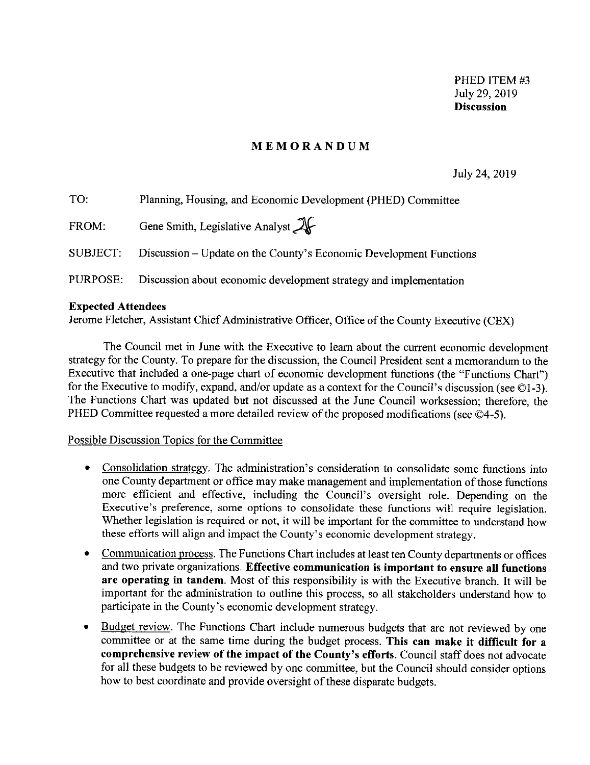### **MEMORANDUM**

July 24, 2019

| TO:      | Planning, Housing, and Economic Development (PHED) Committee       |
|----------|--------------------------------------------------------------------|
| FROM:    | Gene Smith, Legislative Analyst $\mathcal{X}$                      |
| SUBJECT: | Discussion – Update on the County's Economic Development Functions |
| PURPOSE: | Discussion about economic development strategy and implementation  |

#### **Expected Attendees**

Jerome Fletcher, Assistant Chief Administrative Officer, Office of the County Executive (CEX)

The Council met in June with the Executive to learn about the current economic development strategy for the County. To prepare for the discussion, the Council President sent a memorandum to the Executive that included a one-page chart of economic development functions (the "Functions Chart") for the Executive to modify, expand, and/or update as a context for the Council's discussion (see ©l-3). The Functions Chart was updated but not discussed at the June Council worksession; therefore, the PHED Committee requested a more detailed review of the proposed modifications (see  $\textcircled{4-5}$ ).

#### Possible Discussion Topics for the Committee

- Consolidation strategy. The administration's consideration to consolidate some functions into one County department or office may make management and implementation of those functions more efficient and effective, including the Council's oversight role. Depending on the Executive's preference, some options to consolidate these functions will require legislation. Whether legislation is required or not, it will be important for the committee to understand how these efforts will align and impact the County's economic development strategy.
- Communication process. The Functions Chart includes at least ten County departments or offices and two private organizations. **Effective communication is important to ensure all functions are operating in tandem.** Most of this responsibility is with the Executive branch. It will be important for the administration to outline this process, so all stakeholders understand how to participate in the County's economic development strategy.
- Budget review. The Functions Chart include numerous budgets that are not reviewed by one committee or at the same time during the budget process. **This can make it difficult for a comprehensive review of the impact of the County's efforts.** Council staff does not advocate for all these budgets to be reviewed by one committee, but the Council should consider options how to best coordinate and provide oversight of these disparate budgets.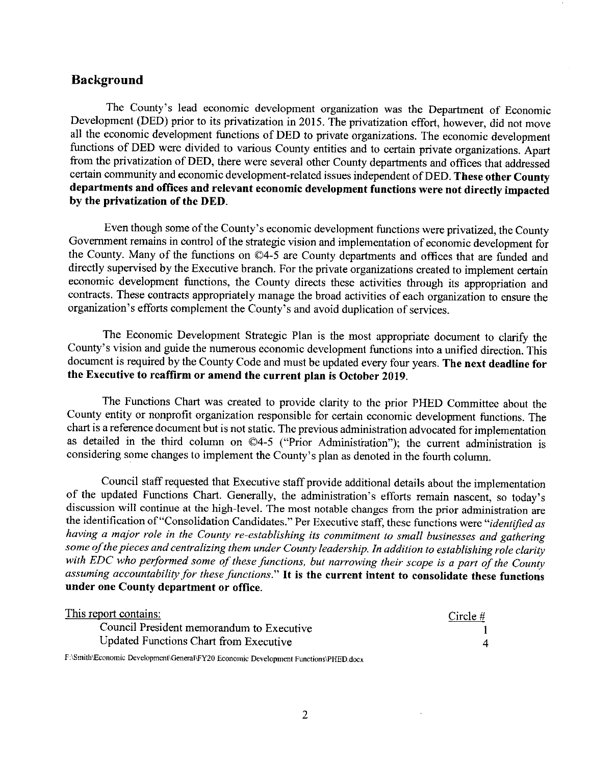## **Background**

The County's lead economic development organization was the Department of Economic Development (DED) prior to its privatization in 2015. The privatization effort, however, did not move all the economic development functions of DED to private organizations. The economic development functions of DED were divided to various County entities and to certain private organizations. Apart from the privatization of DED, there were several other County departments and offices that addressed certain community and economic development-related issues independent ofDED. **These other County departments and offices and relevant economic development functions were not directly impacted by the privatization of the DED.** 

Even though some of the County's economic development functions were privatized, the County Government remains in control of the strategic vision and implementation of economic development for the County. Many of the functions on ©4-5 are County departments and offices that are funded and directly supervised by the Executive branch. For the private organizations created to implement certain economic development functions, the County directs these activities through its appropriation and contracts. These contracts appropriately manage the broad activities of each organization to ensure the organization's efforts complement the County's and avoid duplication of services.

The Economic Development Strategic Plan is the most appropriate document to clarify the County's vision and guide the numerous economic development functions into a unified direction. This document is required by the County Code and must be updated every four years. **The next deadline for the Executive to reaffirm or amend the current plan is October 2019.** 

The Functions Chart was created to provide clarity to the prior PHED Committee about the County entity or nonprofit organization responsible for certain economic development functions. The chart is a reference document but is not static. The previous administration advocated for implementation as detailed in the third column on  $\mathbb{O}4-5$  ("Prior Administration"); the current administration is considering some changes to implement the County's plan as denoted in the fourth column.

Council staff requested that Executive staff provide additional details about the implementation of the updated Functions Chart. Generally, the administration's efforts remain nascent, so today's discussion will continue at the high-level. The most notable changes from the prior administration are the identification of"Consolidation Candidates." Per Executive staff, these functions were *"identified as having a major role in the County re-establishing its commitment to small businesses and gathering some of the pieces and centralizing them under County leadership. In addition to establishing role clarity*  with EDC who performed some of these functions, but narrowing their scope is a part of the County *assuming accountability for these functions."* It **is the current intent to consolidate these functions under one County department or office.** 

| <u>This report contains:</u>              | Circle # |
|-------------------------------------------|----------|
| Council President memorandum to Executive |          |
| Updated Functions Chart from Executive    |          |

**F:\Smith\Economic Development\General\FY20 Economic Development Functions\PHED.docx**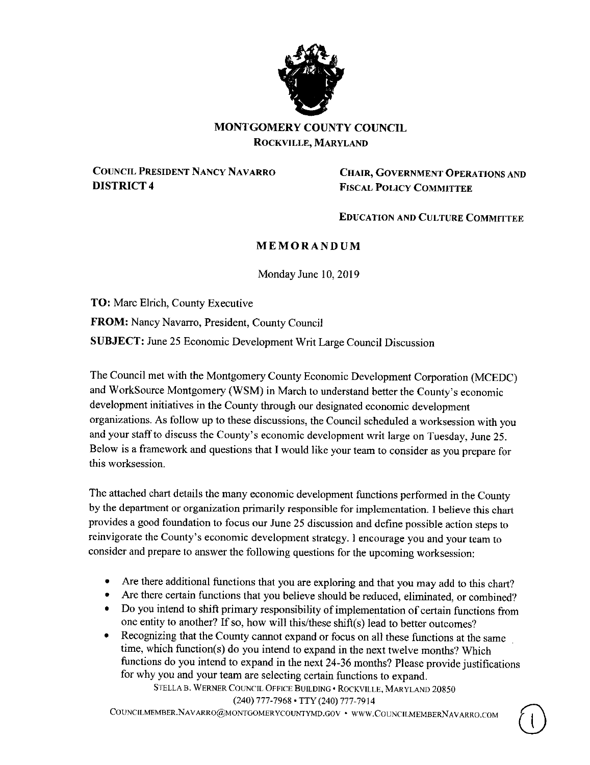

## **MONTGOMERY COUNTY COUNCIL ROCKVILLE, MARYLAND**

**COUNCIL PRESIDENT NANCY NAVARRO DISTRICT4** 

**CHAIR, GOVERNMENT OPERATIONS AND FISCAL POLICY COMMITTEE** 

**EDUCATION AND CULTURE COMMITTEE** 

 $\cup$ 

## **MEMORANDUM**

Monday June 10, 2019

**TO:** Marc Eirich, County Executive **FROM:** Nancy Navarro, President, County Council **SUBJECT:** June 25 Economic Development Writ Large Council Discussion

The Council met with the Montgomery County Economic Development Corporation (MCEDC) and WorkSource Montgomery **(WSM)** in March to understand better the County's economic development initiatives in the County through our designated economic development organizations. As follow up to these discussions, the Council scheduled a worksession with you and your staff to discuss the County's economic development writ large on Tuesday, June 25. Below is a framework and questions that I would like your team to consider as you prepare for this worksession.

The attached chart details the many economic development functions performed in the County by the department or organization primarily responsible for implementation. I believe this chart provides a good foundation to focus our June 25 discussion and define possible action steps to reinvigorate the County's economic development strategy. I encourage you and your team to consider and prepare to answer the following questions for the upcoming worksession:

- Are there additional functions that you are exploring and that you may add to this chart?
- Are there certain functions that you believe should be reduced, eliminated, or combined?
- Do you intend to shift primary responsibility of implementation of certain functions from one entity to another? If so, how will this/these shift(s) lead to better outcomes?
- Recognizing that the County cannot expand or focus on all these functions at the same time, which function(s) do you intend to expand in the next twelve months? Which functions do you intend to expand in the next 24-36 months? Please provide justifications for why you and your team are selecting certain functions to expand.

STELLA B. WERNER COUNCIL OFFICE BUILDING • ROCKVILLE, MARYLAND 20850 (240) 777-7968 • TTY (240) 777-7914

COUNCILMEMBER.NAVARRO@MONTGOMERYCOUNTYMD.GOV • WWW.COUNCILMEMBERNAVARRO.COM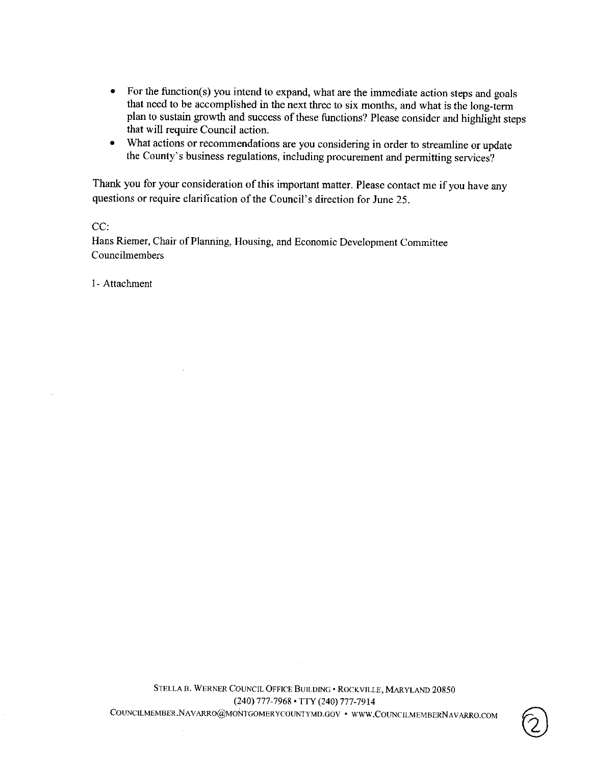- For the function(s) you intend to expand, what are the immediate action steps and goals that need to be accomplished in the next three to six months, and what is the long-term plan to sustain growth and success of these functions? Please consider and highlight steps that will require Council action.
- What actions or recommendations are you considering in order to streamline or update the County's business regulations, including procurement and permitting services?

Thank you for your consideration of this important matter. Please contact me if you have any questions or require clarification of the Council's direction for June 25.

CC:

Hans Riemer, Chair of Planning, Housing, and Economic Development Committee Councilmembers

1- Attachment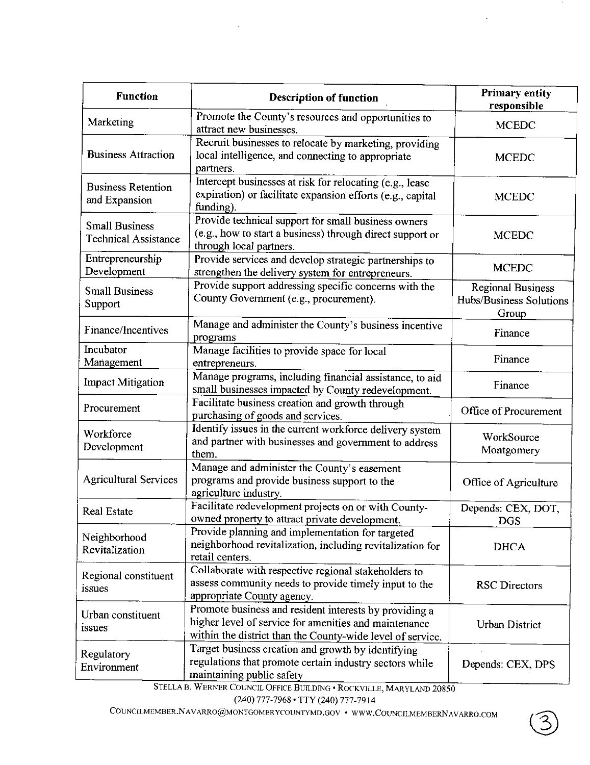| <b>Function</b>                                      | <b>Description of function</b>                                                                                                                                                | <b>Primary entity</b><br>responsible                         |  |
|------------------------------------------------------|-------------------------------------------------------------------------------------------------------------------------------------------------------------------------------|--------------------------------------------------------------|--|
| Marketing                                            | Promote the County's resources and opportunities to<br>attract new businesses.                                                                                                | <b>MCEDC</b>                                                 |  |
| <b>Business Attraction</b>                           | Recruit businesses to relocate by marketing, providing<br>local intelligence, and connecting to appropriate<br>partners.                                                      | <b>MCEDC</b>                                                 |  |
| <b>Business Retention</b><br>and Expansion           | Intercept businesses at risk for relocating (e.g., lease<br>expiration) or facilitate expansion efforts (e.g., capital<br>funding).                                           | <b>MCEDC</b>                                                 |  |
| <b>Small Business</b><br><b>Technical Assistance</b> | Provide technical support for small business owners<br>(e.g., how to start a business) through direct support or<br>through local partners.                                   | <b>MCEDC</b>                                                 |  |
| Entrepreneurship<br>Development                      | Provide services and develop strategic partnerships to<br>strengthen the delivery system for entrepreneurs.                                                                   | <b>MCEDC</b>                                                 |  |
| <b>Small Business</b><br>Support                     | Provide support addressing specific concerns with the<br>County Government (e.g., procurement).                                                                               | <b>Regional Business</b><br>Hubs/Business Solutions<br>Group |  |
| Finance/Incentives                                   | Manage and administer the County's business incentive<br>programs                                                                                                             | Finance                                                      |  |
| Incubator<br>Management                              | Manage facilities to provide space for local<br>entrepreneurs.                                                                                                                | Finance                                                      |  |
| <b>Impact Mitigation</b>                             | Manage programs, including financial assistance, to aid<br>small businesses impacted by County redevelopment.                                                                 | Finance                                                      |  |
| Procurement                                          | Facilitate business creation and growth through<br>purchasing of goods and services.                                                                                          | Office of Procurement                                        |  |
| Workforce<br>Development                             | Identify issues in the current workforce delivery system<br>and partner with businesses and government to address<br>them.                                                    | WorkSource<br>Montgomery                                     |  |
| <b>Agricultural Services</b>                         | Manage and administer the County's easement<br>programs and provide business support to the<br>agriculture industry.                                                          | Office of Agriculture                                        |  |
| <b>Real Estate</b>                                   | Facilitate redevelopment projects on or with County-<br>owned property to attract private development.                                                                        | Depends: CEX, DOT,<br><b>DGS</b>                             |  |
| Neighborhood<br>Revitalization                       | Provide planning and implementation for targeted<br>neighborhood revitalization, including revitalization for<br>retail centers.                                              | <b>DHCA</b>                                                  |  |
| Regional constituent<br>issues                       | Collaborate with respective regional stakeholders to<br>assess community needs to provide timely input to the<br>appropriate County agency.                                   |                                                              |  |
| Urban constituent<br>issues                          | Promote business and resident interests by providing a<br>higher level of service for amenities and maintenance<br>within the district than the County-wide level of service. | <b>Urban District</b>                                        |  |
| Regulatory<br>Environment                            | Target business creation and growth by identifying<br>regulations that promote certain industry sectors while<br>maintaining public safety                                    | Depends: CEX, DPS                                            |  |

STELLA B. WERNER COUNCIL OFFICE BUILDING · ROCKVILLE, MARYLAND 20850

(240) 777-7968 • TTY (240) 777-7914

COUNCILMEMBER.NAV ARRO@MONTGOMERYCOUNTYMD,GOV • WWW.C0UNCILMEMBERNAV ARRO.C0M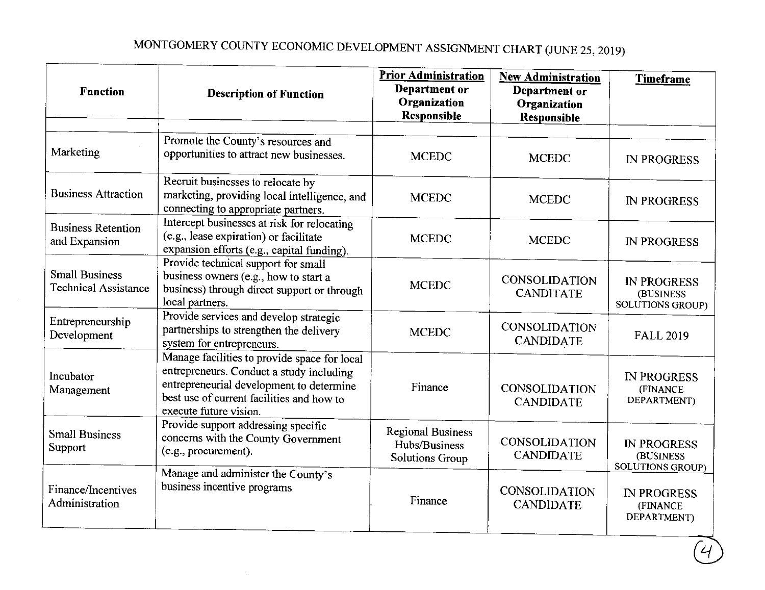# MONTGOMERY COUNTY ECONOMIC DEVELOPMENT ASSIGNMENT CHART (JUNE 25, 2019)

| <b>Function</b>                                      | <b>Description of Function</b>                                                                                                                                                                              | <b>Prior Administration</b><br>Department or<br>Organization<br><b>Responsible</b> | <b>New Administration</b><br>Department or<br>Organization<br>Responsible | Timeframe                                                  |
|------------------------------------------------------|-------------------------------------------------------------------------------------------------------------------------------------------------------------------------------------------------------------|------------------------------------------------------------------------------------|---------------------------------------------------------------------------|------------------------------------------------------------|
| Marketing                                            | Promote the County's resources and<br>opportunities to attract new businesses.                                                                                                                              | <b>MCEDC</b>                                                                       | <b>MCEDC</b>                                                              | <b>IN PROGRESS</b>                                         |
| <b>Business Attraction</b>                           | Recruit businesses to relocate by<br>marketing, providing local intelligence, and<br>connecting to appropriate partners.                                                                                    | <b>MCEDC</b>                                                                       | <b>MCEDC</b>                                                              | <b>IN PROGRESS</b>                                         |
| <b>Business Retention</b><br>and Expansion           | Intercept businesses at risk for relocating<br>(e.g., lease expiration) or facilitate<br>expansion efforts (e.g., capital funding).                                                                         | <b>MCEDC</b>                                                                       | <b>MCEDC</b>                                                              | <b>IN PROGRESS</b>                                         |
| <b>Small Business</b><br><b>Technical Assistance</b> | Provide technical support for small<br>business owners (e.g., how to start a<br>business) through direct support or through<br>local partners.                                                              | <b>MCEDC</b>                                                                       | <b>CONSOLIDATION</b><br><b>CANDITATE</b>                                  | <b>IN PROGRESS</b><br>(BUSINESS<br><b>SOLUTIONS GROUP)</b> |
| Entrepreneurship<br>Development                      | Provide services and develop strategic<br>partnerships to strengthen the delivery<br>system for entrepreneurs.                                                                                              | <b>MCEDC</b>                                                                       | <b>CONSOLIDATION</b><br><b>CANDIDATE</b>                                  | <b>FALL 2019</b>                                           |
| Incubator<br>Management                              | Manage facilities to provide space for local<br>entrepreneurs. Conduct a study including<br>entrepreneurial development to determine<br>best use of current facilities and how to<br>execute future vision. | Finance                                                                            | <b>CONSOLIDATION</b><br><b>CANDIDATE</b>                                  | <b>IN PROGRESS</b><br>(FINANCE<br>DEPARTMENT)              |
| <b>Small Business</b><br>Support                     | Provide support addressing specific<br>concerns with the County Government<br>(e.g., procurement).                                                                                                          | <b>Regional Business</b><br>Hubs/Business<br><b>Solutions Group</b>                | CONSOLIDATION<br><b>CANDIDATE</b>                                         | <b>IN PROGRESS</b><br>(BUSINESS<br><b>SOLUTIONS GROUP)</b> |
| Finance/Incentives<br>Administration                 | Manage and administer the County's<br>business incentive programs                                                                                                                                           | Finance                                                                            | <b>CONSOLIDATION</b><br><b>CANDIDATE</b>                                  | <b>IN PROGRESS</b><br>(FINANCE<br>DEPARTMENT)              |